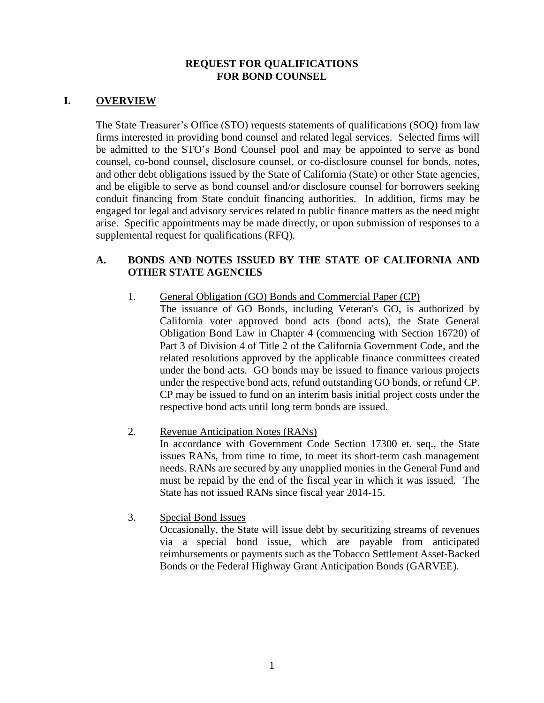### **REQUEST FOR QUALIFICATIONS FOR BOND COUNSEL**

## **I. OVERVIEW**

The State Treasurer's Office (STO) requests statements of qualifications (SOQ) from law firms interested in providing bond counsel and related legal services. Selected firms will be admitted to the STO's Bond Counsel pool and may be appointed to serve as bond counsel, co-bond counsel, disclosure counsel, or co-disclosure counsel for bonds, notes, and other debt obligations issued by the State of California (State) or other State agencies, and be eligible to serve as bond counsel and/or disclosure counsel for borrowers seeking conduit financing from State conduit financing authorities. In addition, firms may be engaged for legal and advisory services related to public finance matters as the need might arise. Specific appointments may be made directly, or upon submission of responses to a supplemental request for qualifications (RFQ).

### **A. BONDS AND NOTES ISSUED BY THE STATE OF CALIFORNIA AND OTHER STATE AGENCIES**

- 1. General Obligation (GO) Bonds and Commercial Paper (CP) The issuance of GO Bonds, including Veteran's GO, is authorized by California voter approved bond acts (bond acts), the State General Obligation Bond Law in Chapter 4 (commencing with Section 16720) of Part 3 of Division 4 of Title 2 of the California Government Code, and the related resolutions approved by the applicable finance committees created under the bond acts. GO bonds may be issued to finance various projects under the respective bond acts, refund outstanding GO bonds, or refund CP. CP may be issued to fund on an interim basis initial project costs under the
- respective bond acts until long term bonds are issued.
- 2. Revenue Anticipation Notes (RANs) In accordance with Government Code Section 17300 et. seq., the State issues RANs, from time to time, to meet its short-term cash management needs. RANs are secured by any unapplied monies in the General Fund and must be repaid by the end of the fiscal year in which it was issued. The State has not issued RANs since fiscal year 2014-15.
- 3. Special Bond Issues

Occasionally, the State will issue debt by securitizing streams of revenues via a special bond issue, which are payable from anticipated reimbursements or payments such as the Tobacco Settlement Asset-Backed Bonds or the Federal Highway Grant Anticipation Bonds (GARVEE).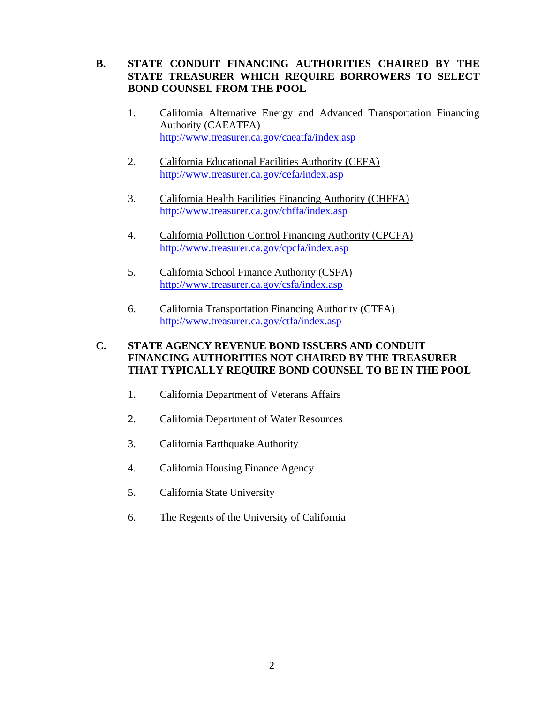## **B. STATE CONDUIT FINANCING AUTHORITIES CHAIRED BY THE STATE TREASURER WHICH REQUIRE BORROWERS TO SELECT BOND COUNSEL FROM THE POOL**

- 1. California Alternative Energy and Advanced Transportation Financing Authority (CAEATFA) <http://www.treasurer.ca.gov/caeatfa/index.asp>
- 2. California Educational Facilities Authority (CEFA) <http://www.treasurer.ca.gov/cefa/index.asp>
- 3. California Health Facilities Financing Authority (CHFFA) <http://www.treasurer.ca.gov/chffa/index.asp>
- 4. California Pollution Control Financing Authority (CPCFA) <http://www.treasurer.ca.gov/cpcfa/index.asp>
- 5. California School Finance Authority (CSFA) <http://www.treasurer.ca.gov/csfa/index.asp>
- 6. California Transportation Financing Authority (CTFA) <http://www.treasurer.ca.gov/ctfa/index.asp>

### **C. STATE AGENCY REVENUE BOND ISSUERS AND CONDUIT FINANCING AUTHORITIES NOT CHAIRED BY THE TREASURER THAT TYPICALLY REQUIRE BOND COUNSEL TO BE IN THE POOL**

- 1. California Department of Veterans Affairs
- 2. California Department of Water Resources
- 3. California Earthquake Authority
- 4. California Housing Finance Agency
- 5. California State University
- 6. The Regents of the University of California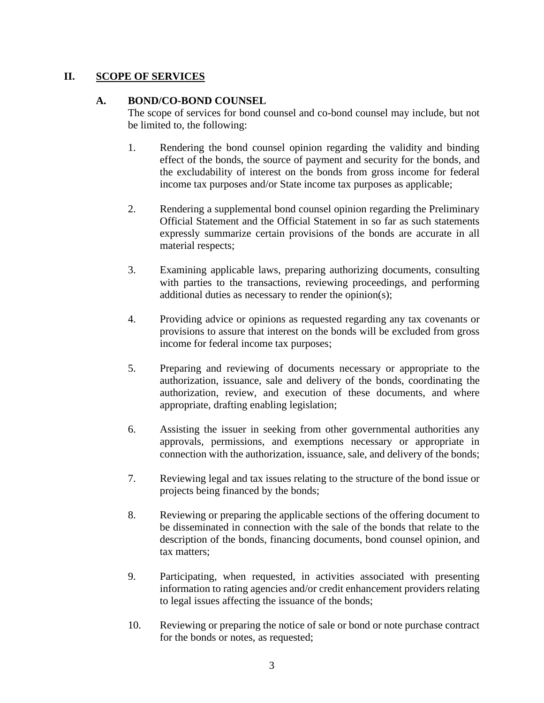# **II. SCOPE OF SERVICES**

## **A. BOND/CO-BOND COUNSEL**

The scope of services for bond counsel and co-bond counsel may include, but not be limited to, the following:

- 1. Rendering the bond counsel opinion regarding the validity and binding effect of the bonds, the source of payment and security for the bonds, and the excludability of interest on the bonds from gross income for federal income tax purposes and/or State income tax purposes as applicable;
- 2. Rendering a supplemental bond counsel opinion regarding the Preliminary Official Statement and the Official Statement in so far as such statements expressly summarize certain provisions of the bonds are accurate in all material respects;
- 3. Examining applicable laws, preparing authorizing documents, consulting with parties to the transactions, reviewing proceedings, and performing additional duties as necessary to render the opinion(s);
- 4. Providing advice or opinions as requested regarding any tax covenants or provisions to assure that interest on the bonds will be excluded from gross income for federal income tax purposes;
- 5. Preparing and reviewing of documents necessary or appropriate to the authorization, issuance, sale and delivery of the bonds, coordinating the authorization, review, and execution of these documents, and where appropriate, drafting enabling legislation;
- 6. Assisting the issuer in seeking from other governmental authorities any approvals, permissions, and exemptions necessary or appropriate in connection with the authorization, issuance, sale, and delivery of the bonds;
- 7. Reviewing legal and tax issues relating to the structure of the bond issue or projects being financed by the bonds;
- 8. Reviewing or preparing the applicable sections of the offering document to be disseminated in connection with the sale of the bonds that relate to the description of the bonds, financing documents, bond counsel opinion, and tax matters;
- 9. Participating, when requested, in activities associated with presenting information to rating agencies and/or credit enhancement providers relating to legal issues affecting the issuance of the bonds;
- 10. Reviewing or preparing the notice of sale or bond or note purchase contract for the bonds or notes, as requested;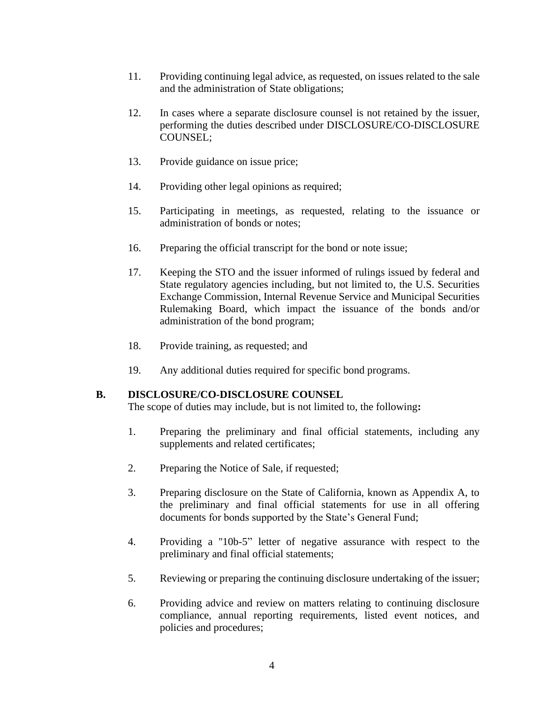- 11. Providing continuing legal advice, as requested, on issues related to the sale and the administration of State obligations;
- 12. In cases where a separate disclosure counsel is not retained by the issuer, performing the duties described under DISCLOSURE/CO-DISCLOSURE COUNSEL;
- 13. Provide guidance on issue price;
- 14. Providing other legal opinions as required;
- 15. Participating in meetings, as requested, relating to the issuance or administration of bonds or notes;
- 16. Preparing the official transcript for the bond or note issue;
- 17. Keeping the STO and the issuer informed of rulings issued by federal and State regulatory agencies including, but not limited to, the U.S. Securities Exchange Commission, Internal Revenue Service and Municipal Securities Rulemaking Board, which impact the issuance of the bonds and/or administration of the bond program;
- 18. Provide training, as requested; and
- 19. Any additional duties required for specific bond programs.

### **B. DISCLOSURE/CO-DISCLOSURE COUNSEL**

The scope of duties may include, but is not limited to, the following**:**

- 1. Preparing the preliminary and final official statements, including any supplements and related certificates;
- 2. Preparing the Notice of Sale, if requested;
- 3. Preparing disclosure on the State of California, known as Appendix A, to the preliminary and final official statements for use in all offering documents for bonds supported by the State's General Fund;
- 4. Providing a ''10b-5" letter of negative assurance with respect to the preliminary and final official statements;
- 5. Reviewing or preparing the continuing disclosure undertaking of the issuer;
- 6. Providing advice and review on matters relating to continuing disclosure compliance, annual reporting requirements, listed event notices, and policies and procedures;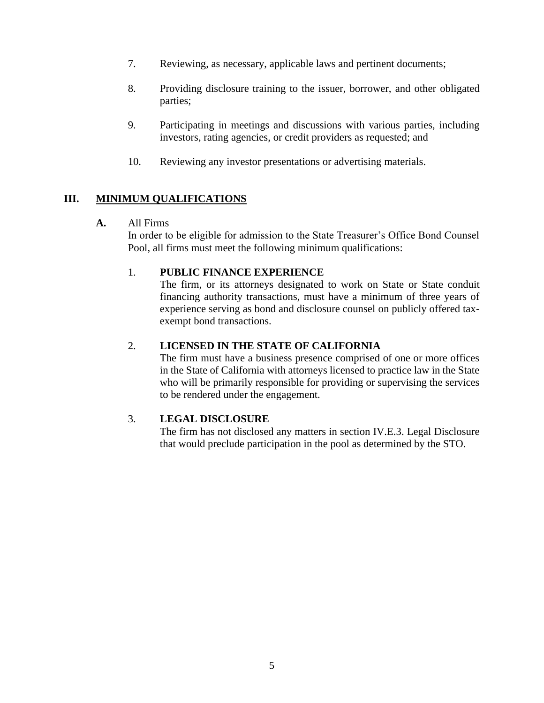- 7. Reviewing, as necessary, applicable laws and pertinent documents;
- 8. Providing disclosure training to the issuer, borrower, and other obligated parties;
- 9. Participating in meetings and discussions with various parties, including investors, rating agencies, or credit providers as requested; and
- 10. Reviewing any investor presentations or advertising materials.

# **III. MINIMUM QUALIFICATIONS**

### **A.** All Firms

In order to be eligible for admission to the State Treasurer's Office Bond Counsel Pool, all firms must meet the following minimum qualifications:

### 1. **PUBLIC FINANCE EXPERIENCE**

The firm, or its attorneys designated to work on State or State conduit financing authority transactions, must have a minimum of three years of experience serving as bond and disclosure counsel on publicly offered taxexempt bond transactions.

## 2. **LICENSED IN THE STATE OF CALIFORNIA**

The firm must have a business presence comprised of one or more offices in the State of California with attorneys licensed to practice law in the State who will be primarily responsible for providing or supervising the services to be rendered under the engagement.

### 3. **LEGAL DISCLOSURE**

The firm has not disclosed any matters in section IV.E.3. Legal Disclosure that would preclude participation in the pool as determined by the STO.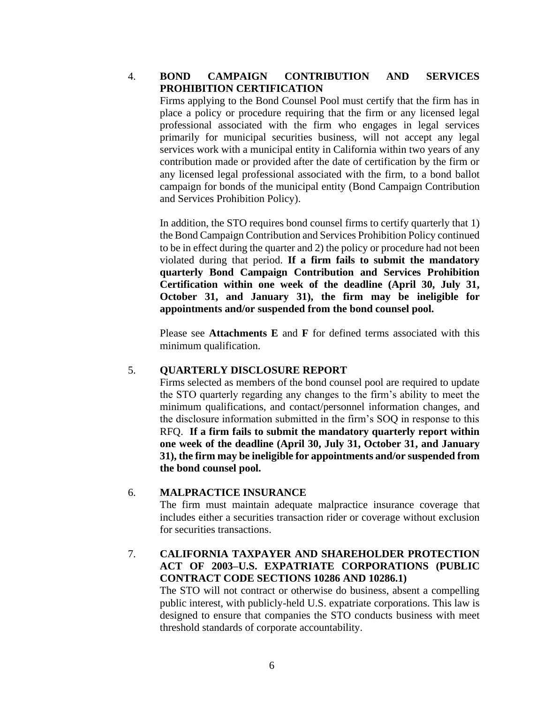## 4. **BOND CAMPAIGN CONTRIBUTION AND SERVICES PROHIBITION CERTIFICATION**

Firms applying to the Bond Counsel Pool must certify that the firm has in place a policy or procedure requiring that the firm or any licensed legal professional associated with the firm who engages in legal services primarily for municipal securities business, will not accept any legal services work with a municipal entity in California within two years of any contribution made or provided after the date of certification by the firm or any licensed legal professional associated with the firm, to a bond ballot campaign for bonds of the municipal entity (Bond Campaign Contribution and Services Prohibition Policy).

In addition, the STO requires bond counsel firms to certify quarterly that 1) the Bond Campaign Contribution and Services Prohibition Policy continued to be in effect during the quarter and 2) the policy or procedure had not been violated during that period. **If a firm fails to submit the mandatory quarterly Bond Campaign Contribution and Services Prohibition Certification within one week of the deadline (April 30, July 31, October 31, and January 31), the firm may be ineligible for appointments and/or suspended from the bond counsel pool.** 

Please see **Attachments E** and **F** for defined terms associated with this minimum qualification.

### 5. **QUARTERLY DISCLOSURE REPORT**

Firms selected as members of the bond counsel pool are required to update the STO quarterly regarding any changes to the firm's ability to meet the minimum qualifications, and contact/personnel information changes, and the disclosure information submitted in the firm's SOQ in response to this RFQ. **If a firm fails to submit the mandatory quarterly report within one week of the deadline (April 30, July 31, October 31, and January 31), the firm may be ineligible for appointments and/or suspended from the bond counsel pool.**

# 6. **MALPRACTICE INSURANCE**

The firm must maintain adequate malpractice insurance coverage that includes either a securities transaction rider or coverage without exclusion for securities transactions.

# 7. **CALIFORNIA TAXPAYER AND SHAREHOLDER PROTECTION ACT OF 2003–U.S. EXPATRIATE CORPORATIONS (PUBLIC CONTRACT CODE SECTIONS 10286 AND 10286.1)**

The STO will not contract or otherwise do business, absent a compelling public interest, with publicly-held U.S. expatriate corporations. This law is designed to ensure that companies the STO conducts business with meet threshold standards of corporate accountability.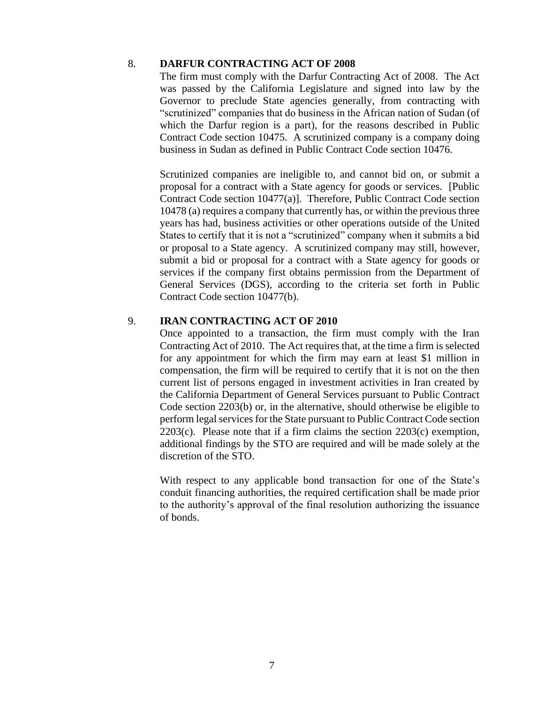#### 8. **DARFUR CONTRACTING ACT OF 2008**

The firm must comply with the Darfur Contracting Act of 2008. The Act was passed by the California Legislature and signed into law by the Governor to preclude State agencies generally, from contracting with "scrutinized" companies that do business in the African nation of Sudan (of which the Darfur region is a part), for the reasons described in Public Contract Code section 10475. A scrutinized company is a company doing business in Sudan as defined in Public Contract Code section 10476.

Scrutinized companies are ineligible to, and cannot bid on, or submit a proposal for a contract with a State agency for goods or services. [Public Contract Code section 10477(a)]. Therefore, Public Contract Code section 10478 (a) requires a company that currently has, or within the previous three years has had, business activities or other operations outside of the United States to certify that it is not a "scrutinized" company when it submits a bid or proposal to a State agency. A scrutinized company may still, however, submit a bid or proposal for a contract with a State agency for goods or services if the company first obtains permission from the Department of General Services (DGS), according to the criteria set forth in Public Contract Code section 10477(b).

### 9. **IRAN CONTRACTING ACT OF 2010**

Once appointed to a transaction, the firm must comply with the Iran Contracting Act of 2010. The Act requires that, at the time a firm is selected for any appointment for which the firm may earn at least \$1 million in compensation, the firm will be required to certify that it is not on the then current list of persons engaged in investment activities in Iran created by the California Department of General Services pursuant to Public Contract Code section 2203(b) or, in the alternative, should otherwise be eligible to perform legal services for the State pursuant to Public Contract Code section 2203(c). Please note that if a firm claims the section 2203(c) exemption, additional findings by the STO are required and will be made solely at the discretion of the STO.

With respect to any applicable bond transaction for one of the State's conduit financing authorities, the required certification shall be made prior to the authority's approval of the final resolution authorizing the issuance of bonds.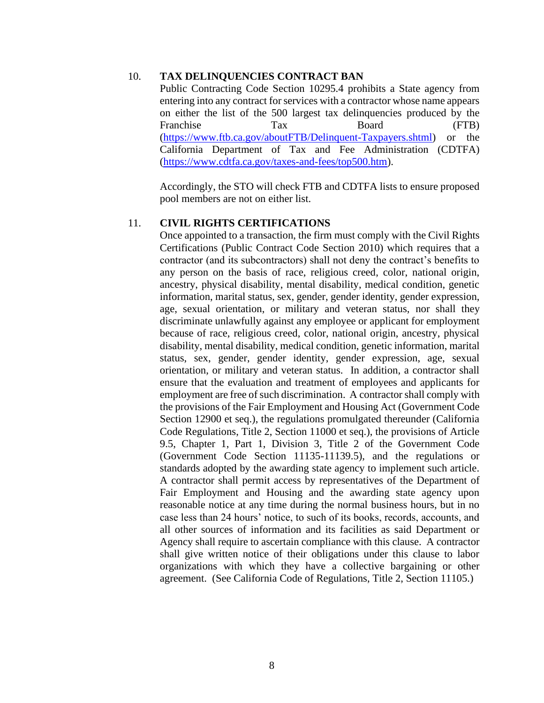#### 10. **TAX DELINQUENCIES CONTRACT BAN**

Public Contracting Code Section 10295.4 prohibits a State agency from entering into any contract for services with a contractor whose name appears on either the list of the 500 largest tax delinquencies produced by the Franchise Tax Board (FTB) [\(https://www.ftb.ca.gov/aboutFTB/Delinquent-Taxpayers.shtml\)](https://www.ftb.ca.gov/aboutFTB/Delinquent-Taxpayers.shtml) or the California Department of Tax and Fee Administration (CDTFA) [\(https://www.cdtfa.ca.gov/taxes-and-fees/top500.htm\)](https://www.cdtfa.ca.gov/taxes-and-fees/top500.htm).

Accordingly, the STO will check FTB and CDTFA lists to ensure proposed pool members are not on either list.

#### 11. **CIVIL RIGHTS CERTIFICATIONS**

Once appointed to a transaction, the firm must comply with the Civil Rights Certifications (Public Contract Code Section 2010) which requires that a contractor (and its subcontractors) shall not deny the contract's benefits to any person on the basis of race, religious creed, color, national origin, ancestry, physical disability, mental disability, medical condition, genetic information, marital status, sex, gender, gender identity, gender expression, age, sexual orientation, or military and veteran status, nor shall they discriminate unlawfully against any employee or applicant for employment because of race, religious creed, color, national origin, ancestry, physical disability, mental disability, medical condition, genetic information, marital status, sex, gender, gender identity, gender expression, age, sexual orientation, or military and veteran status. In addition, a contractor shall ensure that the evaluation and treatment of employees and applicants for employment are free of such discrimination. A contractor shall comply with the provisions of the Fair Employment and Housing Act (Government Code Section 12900 et seq.), the regulations promulgated thereunder (California Code Regulations, Title 2, Section 11000 et seq.), the provisions of Article 9.5, Chapter 1, Part 1, Division 3, Title 2 of the Government Code (Government Code Section 11135-11139.5), and the regulations or standards adopted by the awarding state agency to implement such article. A contractor shall permit access by representatives of the Department of Fair Employment and Housing and the awarding state agency upon reasonable notice at any time during the normal business hours, but in no case less than 24 hours' notice, to such of its books, records, accounts, and all other sources of information and its facilities as said Department or Agency shall require to ascertain compliance with this clause. A contractor shall give written notice of their obligations under this clause to labor organizations with which they have a collective bargaining or other agreement. (See California Code of Regulations, Title 2, Section 11105.)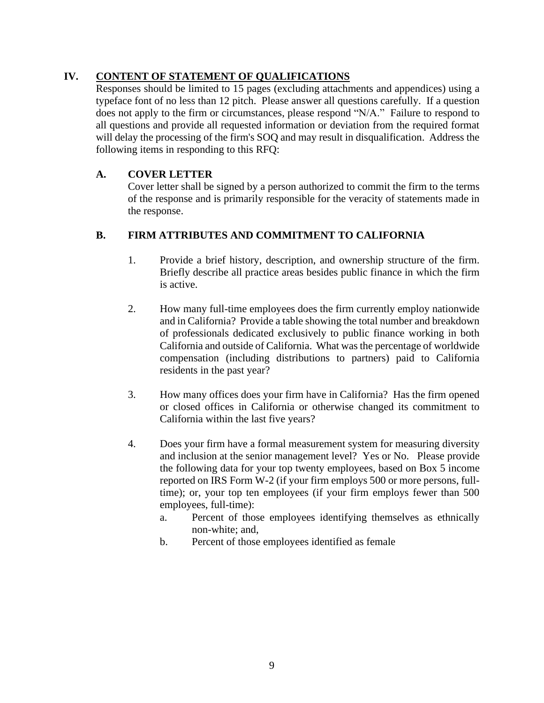# **IV. CONTENT OF STATEMENT OF QUALIFICATIONS**

Responses should be limited to 15 pages (excluding attachments and appendices) using a typeface font of no less than 12 pitch. Please answer all questions carefully. If a question does not apply to the firm or circumstances, please respond "N/A." Failure to respond to all questions and provide all requested information or deviation from the required format will delay the processing of the firm's SOQ and may result in disqualification. Address the following items in responding to this RFQ:

# **A. COVER LETTER**

Cover letter shall be signed by a person authorized to commit the firm to the terms of the response and is primarily responsible for the veracity of statements made in the response.

# **B. FIRM ATTRIBUTES AND COMMITMENT TO CALIFORNIA**

- 1. Provide a brief history, description, and ownership structure of the firm. Briefly describe all practice areas besides public finance in which the firm is active.
- 2. How many full-time employees does the firm currently employ nationwide and in California? Provide a table showing the total number and breakdown of professionals dedicated exclusively to public finance working in both California and outside of California. What was the percentage of worldwide compensation (including distributions to partners) paid to California residents in the past year?
- 3. How many offices does your firm have in California? Has the firm opened or closed offices in California or otherwise changed its commitment to California within the last five years?
- 4. Does your firm have a formal measurement system for measuring diversity and inclusion at the senior management level? Yes or No. Please provide the following data for your top twenty employees, based on Box 5 income reported on IRS Form W-2 (if your firm employs 500 or more persons, fulltime); or, your top ten employees (if your firm employs fewer than 500 employees, full-time):
	- a. Percent of those employees identifying themselves as ethnically non-white; and,
	- b. Percent of those employees identified as female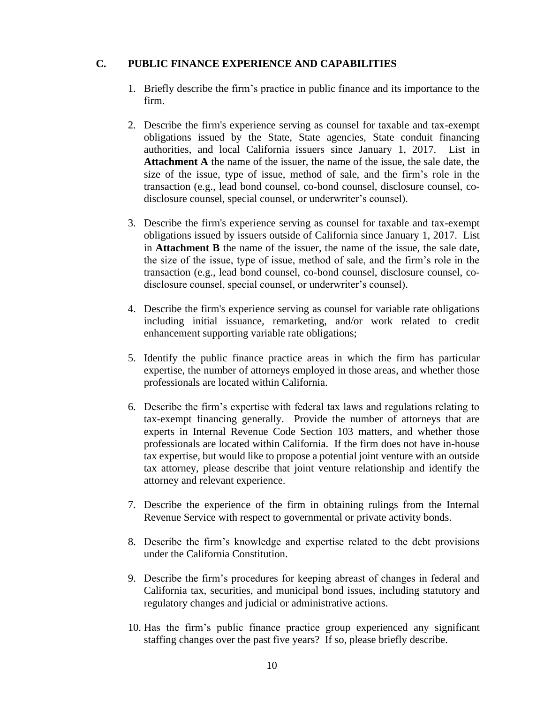## **C. PUBLIC FINANCE EXPERIENCE AND CAPABILITIES**

- 1. Briefly describe the firm's practice in public finance and its importance to the firm.
- 2. Describe the firm's experience serving as counsel for taxable and tax-exempt obligations issued by the State, State agencies, State conduit financing authorities, and local California issuers since January 1, 2017. List in **Attachment A** the name of the issuer, the name of the issue, the sale date, the size of the issue, type of issue, method of sale, and the firm's role in the transaction (e.g., lead bond counsel, co-bond counsel, disclosure counsel, codisclosure counsel, special counsel, or underwriter's counsel).
- 3. Describe the firm's experience serving as counsel for taxable and tax-exempt obligations issued by issuers outside of California since January 1, 2017. List in **Attachment B** the name of the issuer, the name of the issue, the sale date, the size of the issue, type of issue, method of sale, and the firm's role in the transaction (e.g., lead bond counsel, co-bond counsel, disclosure counsel, codisclosure counsel, special counsel, or underwriter's counsel).
- 4. Describe the firm's experience serving as counsel for variable rate obligations including initial issuance, remarketing, and/or work related to credit enhancement supporting variable rate obligations;
- 5. Identify the public finance practice areas in which the firm has particular expertise, the number of attorneys employed in those areas, and whether those professionals are located within California.
- 6. Describe the firm's expertise with federal tax laws and regulations relating to tax-exempt financing generally. Provide the number of attorneys that are experts in Internal Revenue Code Section 103 matters, and whether those professionals are located within California. If the firm does not have in-house tax expertise, but would like to propose a potential joint venture with an outside tax attorney, please describe that joint venture relationship and identify the attorney and relevant experience.
- 7. Describe the experience of the firm in obtaining rulings from the Internal Revenue Service with respect to governmental or private activity bonds.
- 8. Describe the firm's knowledge and expertise related to the debt provisions under the California Constitution.
- 9. Describe the firm's procedures for keeping abreast of changes in federal and California tax, securities, and municipal bond issues, including statutory and regulatory changes and judicial or administrative actions.
- 10. Has the firm's public finance practice group experienced any significant staffing changes over the past five years? If so, please briefly describe.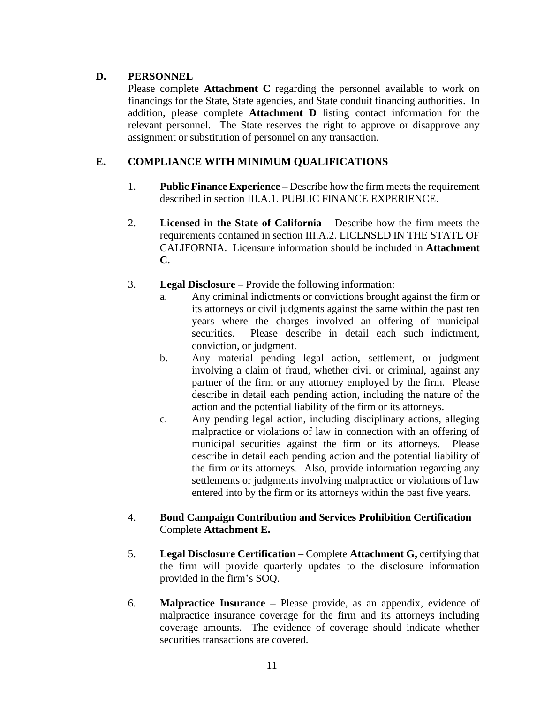# **D. PERSONNEL**

Please complete **Attachment C** regarding the personnel available to work on financings for the State, State agencies, and State conduit financing authorities. In addition, please complete **Attachment D** listing contact information for the relevant personnel. The State reserves the right to approve or disapprove any assignment or substitution of personnel on any transaction.

# **E. COMPLIANCE WITH MINIMUM QUALIFICATIONS**

- 1. **Public Finance Experience –** Describe how the firm meets the requirement described in section III.A.1. PUBLIC FINANCE EXPERIENCE.
- 2. **Licensed in the State of California –** Describe how the firm meets the requirements contained in section III.A.2. LICENSED IN THE STATE OF CALIFORNIA. Licensure information should be included in **Attachment C**.
- 3. **Legal Disclosure –** Provide the following information:
	- a. Any criminal indictments or convictions brought against the firm or its attorneys or civil judgments against the same within the past ten years where the charges involved an offering of municipal securities. Please describe in detail each such indictment, conviction, or judgment.
	- b. Any material pending legal action, settlement, or judgment involving a claim of fraud, whether civil or criminal, against any partner of the firm or any attorney employed by the firm. Please describe in detail each pending action, including the nature of the action and the potential liability of the firm or its attorneys.
	- c. Any pending legal action, including disciplinary actions, alleging malpractice or violations of law in connection with an offering of municipal securities against the firm or its attorneys. Please describe in detail each pending action and the potential liability of the firm or its attorneys. Also, provide information regarding any settlements or judgments involving malpractice or violations of law entered into by the firm or its attorneys within the past five years.
- 4. **Bond Campaign Contribution and Services Prohibition Certification**  Complete **Attachment E.**
- 5. **Legal Disclosure Certification** Complete **Attachment G,** certifying that the firm will provide quarterly updates to the disclosure information provided in the firm's SOQ.
- 6. **Malpractice Insurance –** Please provide, as an appendix, evidence of malpractice insurance coverage for the firm and its attorneys including coverage amounts. The evidence of coverage should indicate whether securities transactions are covered.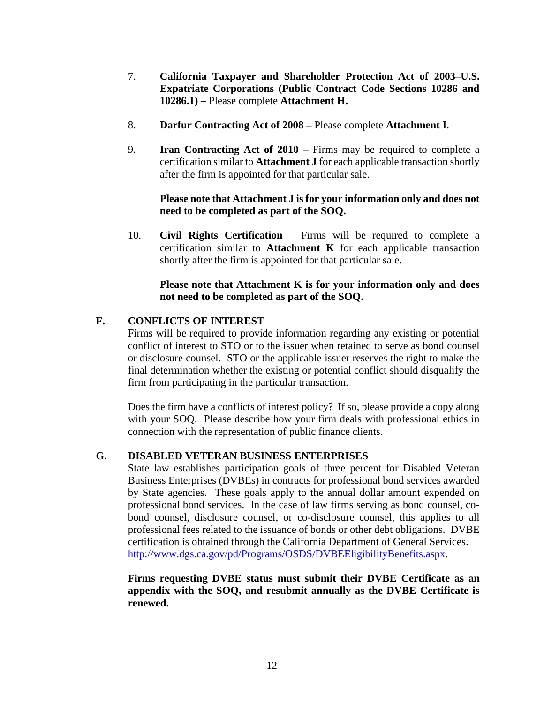- 7. **California Taxpayer and Shareholder Protection Act of 2003–U.S. Expatriate Corporations (Public Contract Code Sections 10286 and 10286.1) –** Please complete **Attachment H.**
- 8. **Darfur Contracting Act of 2008 –** Please complete **Attachment I**.
- 9. **Iran Contracting Act of 2010 –** Firms may be required to complete a certification similar to **Attachment J** for each applicable transaction shortly after the firm is appointed for that particular sale.

## **Please note that Attachment J is for your information only and does not need to be completed as part of the SOQ.**

10. **Civil Rights Certification** – Firms will be required to complete a certification similar to **Attachment K** for each applicable transaction shortly after the firm is appointed for that particular sale.

## **Please note that Attachment K is for your information only and does not need to be completed as part of the SOQ.**

# **F. CONFLICTS OF INTEREST**

Firms will be required to provide information regarding any existing or potential conflict of interest to STO or to the issuer when retained to serve as bond counsel or disclosure counsel. STO or the applicable issuer reserves the right to make the final determination whether the existing or potential conflict should disqualify the firm from participating in the particular transaction.

Does the firm have a conflicts of interest policy? If so, please provide a copy along with your SOQ. Please describe how your firm deals with professional ethics in connection with the representation of public finance clients.

# **G. DISABLED VETERAN BUSINESS ENTERPRISES**

State law establishes participation goals of three percent for Disabled Veteran Business Enterprises (DVBEs) in contracts for professional bond services awarded by State agencies. These goals apply to the annual dollar amount expended on professional bond services. In the case of law firms serving as bond counsel, cobond counsel, disclosure counsel, or co-disclosure counsel, this applies to all professional fees related to the issuance of bonds or other debt obligations. DVBE certification is obtained through the California Department of General Services. [http://www.dgs.ca.gov/pd/Programs/OSDS/DVBEEligibilityBenefits.aspx.](http://www.dgs.ca.gov/pd/Programs/OSDS/DVBEEligibilityBenefits.aspx)

**Firms requesting DVBE status must submit their DVBE Certificate as an appendix with the SOQ, and resubmit annually as the DVBE Certificate is renewed.**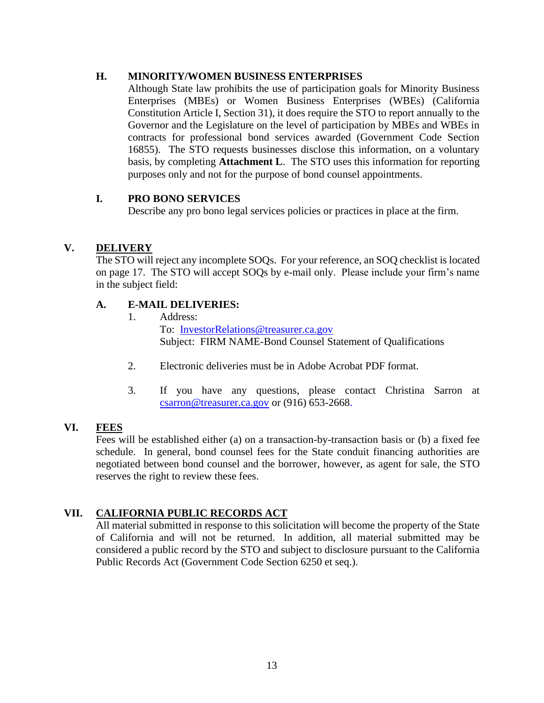## **H. MINORITY/WOMEN BUSINESS ENTERPRISES**

Although State law prohibits the use of participation goals for Minority Business Enterprises (MBEs) or Women Business Enterprises (WBEs) (California Constitution Article I, Section 31), it does require the STO to report annually to the Governor and the Legislature on the level of participation by MBEs and WBEs in contracts for professional bond services awarded (Government Code Section 16855). The STO requests businesses disclose this information, on a voluntary basis, by completing **Attachment L**. The STO uses this information for reporting purposes only and not for the purpose of bond counsel appointments.

### **I. PRO BONO SERVICES**

Describe any pro bono legal services policies or practices in place at the firm.

# **V. DELIVERY**

The STO will reject any incomplete SOQs. For your reference, an SOQ checklist is located on page 17. The STO will accept SOQs by e-mail only. Please include your firm's name in the subject field:

# **A. E-MAIL DELIVERIES:**

- 1. Address: To: [InvestorRelations@treasurer.ca.gov](mailto:InvestorRelations@treasurer.ca.gov) Subject: FIRM NAME-Bond Counsel Statement of Qualifications
- 2. Electronic deliveries must be in Adobe Acrobat PDF format.
- 3. If you have any questions, please contact Christina Sarron at [csarron@treasurer.ca.gov](mailto:csarron@treasurer.ca.gov) or (916) 653-2668.

# **VI. FEES**

Fees will be established either (a) on a transaction-by-transaction basis or (b) a fixed fee schedule. In general, bond counsel fees for the State conduit financing authorities are negotiated between bond counsel and the borrower, however, as agent for sale, the STO reserves the right to review these fees.

# **VII. CALIFORNIA PUBLIC RECORDS ACT**

All material submitted in response to this solicitation will become the property of the State of California and will not be returned. In addition, all material submitted may be considered a public record by the STO and subject to disclosure pursuant to the California Public Records Act (Government Code Section 6250 et seq.).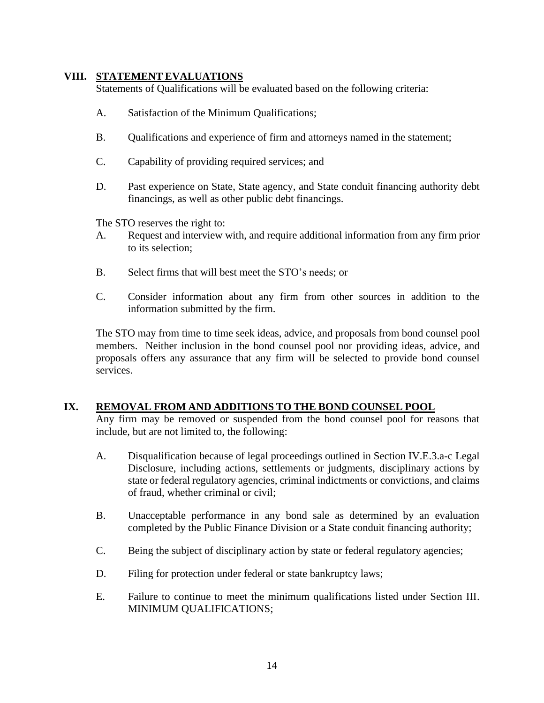### **VIII. STATEMENT EVALUATIONS**

Statements of Qualifications will be evaluated based on the following criteria:

- A. Satisfaction of the Minimum Qualifications;
- B. Qualifications and experience of firm and attorneys named in the statement;
- C. Capability of providing required services; and
- D. Past experience on State, State agency, and State conduit financing authority debt financings, as well as other public debt financings.

The STO reserves the right to:

- A. Request and interview with, and require additional information from any firm prior to its selection;
- B. Select firms that will best meet the STO's needs; or
- C. Consider information about any firm from other sources in addition to the information submitted by the firm.

The STO may from time to time seek ideas, advice, and proposals from bond counsel pool members. Neither inclusion in the bond counsel pool nor providing ideas, advice, and proposals offers any assurance that any firm will be selected to provide bond counsel services.

### **IX. REMOVAL FROM AND ADDITIONS TO THE BOND COUNSEL POOL**

Any firm may be removed or suspended from the bond counsel pool for reasons that include, but are not limited to, the following:

- A. Disqualification because of legal proceedings outlined in Section IV.E.3.a-c Legal Disclosure, including actions, settlements or judgments, disciplinary actions by state or federal regulatory agencies, criminal indictments or convictions, and claims of fraud, whether criminal or civil;
- B. Unacceptable performance in any bond sale as determined by an evaluation completed by the Public Finance Division or a State conduit financing authority;
- C. Being the subject of disciplinary action by state or federal regulatory agencies;
- D. Filing for protection under federal or state bankruptcy laws;
- E. Failure to continue to meet the minimum qualifications listed under Section III. MINIMUM QUALIFICATIONS;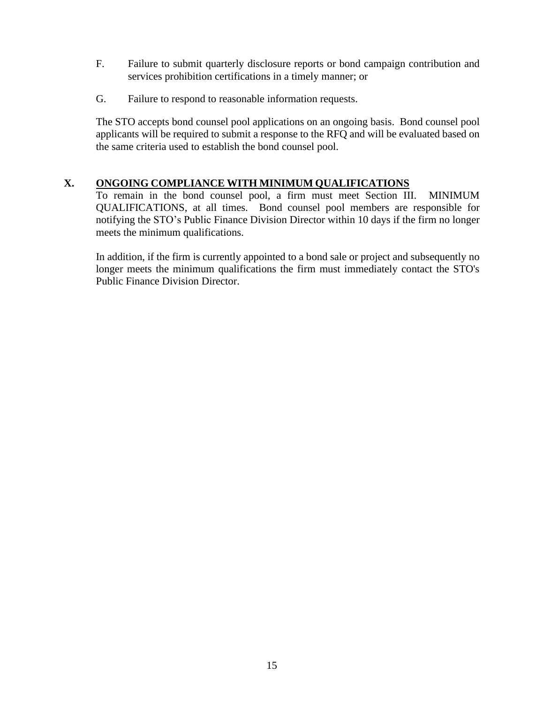- F. Failure to submit quarterly disclosure reports or bond campaign contribution and services prohibition certifications in a timely manner; or
- G. Failure to respond to reasonable information requests.

The STO accepts bond counsel pool applications on an ongoing basis. Bond counsel pool applicants will be required to submit a response to the RFQ and will be evaluated based on the same criteria used to establish the bond counsel pool.

# **X. ONGOING COMPLIANCE WITH MINIMUM QUALIFICATIONS**

To remain in the bond counsel pool, a firm must meet Section III. MINIMUM QUALIFICATIONS, at all times. Bond counsel pool members are responsible for notifying the STO's Public Finance Division Director within 10 days if the firm no longer meets the minimum qualifications.

In addition, if the firm is currently appointed to a bond sale or project and subsequently no longer meets the minimum qualifications the firm must immediately contact the STO's Public Finance Division Director.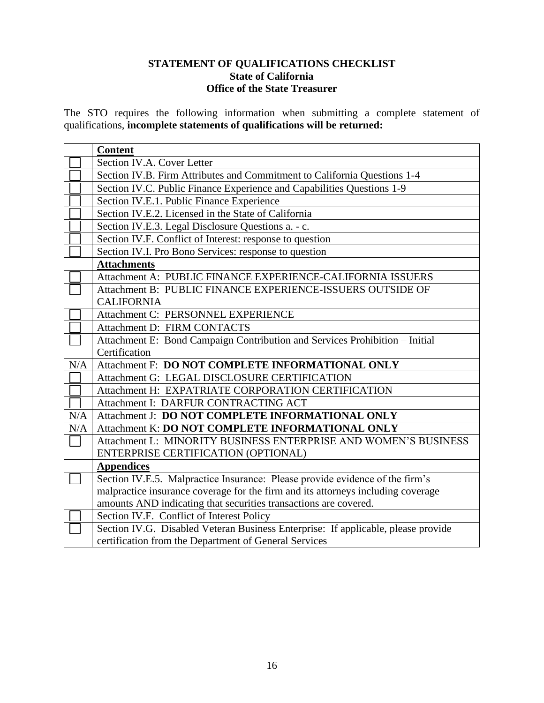# **STATEMENT OF QUALIFICATIONS CHECKLIST State of California Office of the State Treasurer**

The STO requires the following information when submitting a complete statement of qualifications, **incomplete statements of qualifications will be returned:**

|     | <b>Content</b>                                                                    |
|-----|-----------------------------------------------------------------------------------|
|     | Section IV.A. Cover Letter                                                        |
|     | Section IV.B. Firm Attributes and Commitment to California Questions 1-4          |
|     | Section IV.C. Public Finance Experience and Capabilities Questions 1-9            |
|     | Section IV.E.1. Public Finance Experience                                         |
|     | Section IV.E.2. Licensed in the State of California                               |
|     | Section IV.E.3. Legal Disclosure Questions a. - c.                                |
|     | Section IV.F. Conflict of Interest: response to question                          |
|     | Section IV.I. Pro Bono Services: response to question                             |
|     | <b>Attachments</b>                                                                |
|     | Attachment A: PUBLIC FINANCE EXPERIENCE-CALIFORNIA ISSUERS                        |
|     | Attachment B: PUBLIC FINANCE EXPERIENCE-ISSUERS OUTSIDE OF                        |
|     | <b>CALIFORNIA</b>                                                                 |
|     | Attachment C: PERSONNEL EXPERIENCE                                                |
|     | Attachment D: FIRM CONTACTS                                                       |
|     | Attachment E: Bond Campaign Contribution and Services Prohibition - Initial       |
|     | Certification                                                                     |
| N/A | Attachment F: DO NOT COMPLETE INFORMATIONAL ONLY                                  |
|     | Attachment G: LEGAL DISCLOSURE CERTIFICATION                                      |
|     | Attachment H: EXPATRIATE CORPORATION CERTIFICATION                                |
|     | Attachment I: DARFUR CONTRACTING ACT                                              |
| N/A | Attachment J: DO NOT COMPLETE INFORMATIONAL ONLY                                  |
| N/A | Attachment K: DO NOT COMPLETE INFORMATIONAL ONLY                                  |
|     | Attachment L: MINORITY BUSINESS ENTERPRISE AND WOMEN'S BUSINESS                   |
|     | ENTERPRISE CERTIFICATION (OPTIONAL)                                               |
|     | <b>Appendices</b>                                                                 |
|     | Section IV.E.5. Malpractice Insurance: Please provide evidence of the firm's      |
|     | malpractice insurance coverage for the firm and its attorneys including coverage  |
|     | amounts AND indicating that securities transactions are covered.                  |
|     | Section IV.F. Conflict of Interest Policy                                         |
|     | Section IV.G. Disabled Veteran Business Enterprise: If applicable, please provide |
|     | certification from the Department of General Services                             |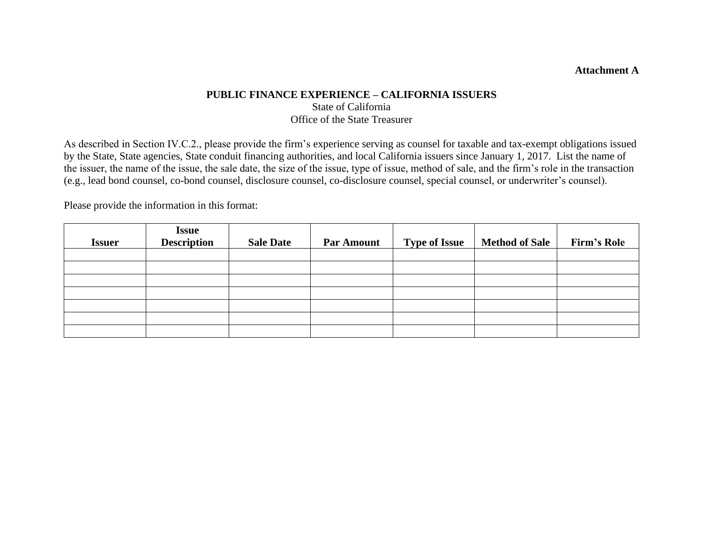## **Attachment A**

# **PUBLIC FINANCE EXPERIENCE – CALIFORNIA ISSUERS** State of California Office of the State Treasurer

As described in Section IV.C.2., please provide the firm's experience serving as counsel for taxable and tax-exempt obligations issued by the State, State agencies, State conduit financing authorities, and local California issuers since January 1, 2017. List the name of the issuer, the name of the issue, the sale date, the size of the issue, type of issue, method of sale, and the firm's role in the transaction (e.g., lead bond counsel, co-bond counsel, disclosure counsel, co-disclosure counsel, special counsel, or underwriter's counsel).

Please provide the information in this format:

| <b>Issuer</b> | <b>Issue</b><br><b>Description</b> | <b>Sale Date</b> | <b>Par Amount</b> | <b>Type of Issue</b> | <b>Method of Sale</b> | <b>Firm's Role</b> |
|---------------|------------------------------------|------------------|-------------------|----------------------|-----------------------|--------------------|
|               |                                    |                  |                   |                      |                       |                    |
|               |                                    |                  |                   |                      |                       |                    |
|               |                                    |                  |                   |                      |                       |                    |
|               |                                    |                  |                   |                      |                       |                    |
|               |                                    |                  |                   |                      |                       |                    |
|               |                                    |                  |                   |                      |                       |                    |
|               |                                    |                  |                   |                      |                       |                    |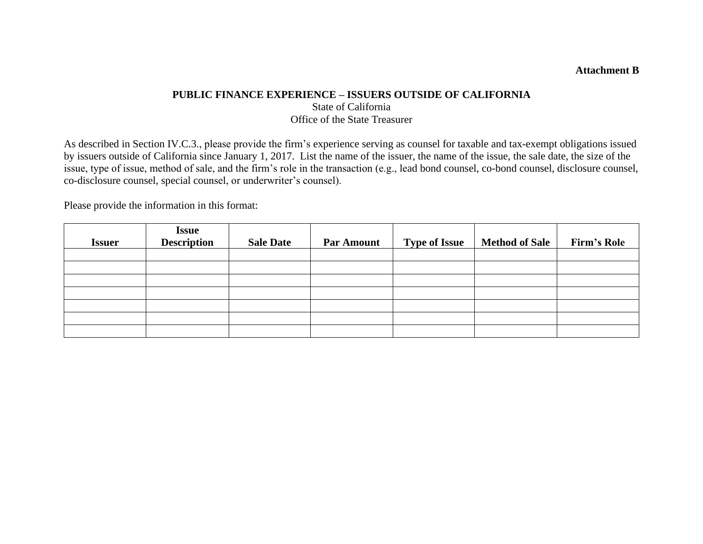### **Attachment B**

# **PUBLIC FINANCE EXPERIENCE – ISSUERS OUTSIDE OF CALIFORNIA** State of California Office of the State Treasurer

As described in Section IV.C.3., please provide the firm's experience serving as counsel for taxable and tax-exempt obligations issued by issuers outside of California since January 1, 2017. List the name of the issuer, the name of the issue, the sale date, the size of the issue, type of issue, method of sale, and the firm's role in the transaction (e.g., lead bond counsel, co-bond counsel, disclosure counsel, co-disclosure counsel, special counsel, or underwriter's counsel).

Please provide the information in this format:

| <b>Issuer</b> | <b>Issue</b><br><b>Description</b> | <b>Sale Date</b> | <b>Par Amount</b> | <b>Type of Issue</b> | Method of Sale | <b>Firm's Role</b> |
|---------------|------------------------------------|------------------|-------------------|----------------------|----------------|--------------------|
|               |                                    |                  |                   |                      |                |                    |
|               |                                    |                  |                   |                      |                |                    |
|               |                                    |                  |                   |                      |                |                    |
|               |                                    |                  |                   |                      |                |                    |
|               |                                    |                  |                   |                      |                |                    |
|               |                                    |                  |                   |                      |                |                    |
|               |                                    |                  |                   |                      |                |                    |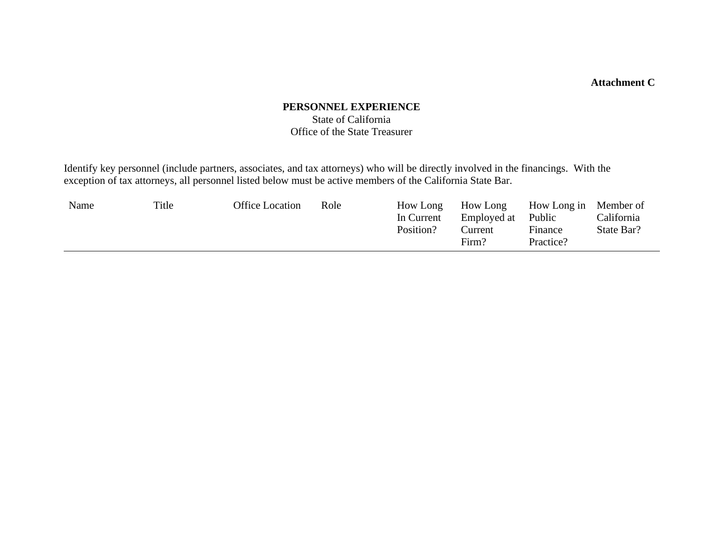# **Attachment C**

# **PERSONNEL EXPERIENCE**  State of California

# Office of the State Treasurer

Identify key personnel (include partners, associates, and tax attorneys) who will be directly involved in the financings. With the exception of tax attorneys, all personnel listed below must be active members of the California State Bar.

| Name | Title | <b>Office Location</b> | Role | How Long<br>In Current<br>Position? | How Long<br>Employed at<br>Current<br>Firm? | How Long in Member of<br>Public<br>Finance<br>Practice? | California<br>State Bar? |
|------|-------|------------------------|------|-------------------------------------|---------------------------------------------|---------------------------------------------------------|--------------------------|
|      |       |                        |      |                                     |                                             |                                                         |                          |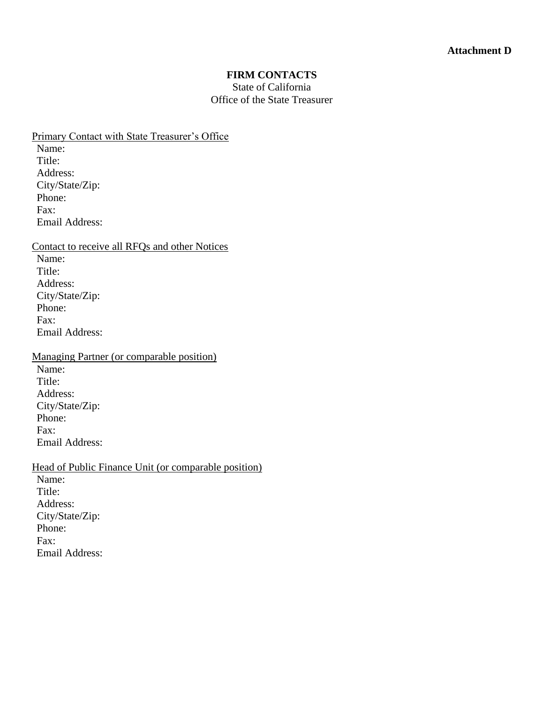#### **FIRM CONTACTS**

### State of California Office of the State Treasurer

Primary Contact with State Treasurer's Office

Name: Title: Address: City/State/Zip: Phone: Fax: Email Address:

Contact to receive all RFQs and other Notices Name: Title: Address: City/State/Zip: Phone: Fax: Email Address:

Managing Partner (or comparable position) Name: Title: Address: City/State/Zip: Phone: Fax:

Email Address: Head of Public Finance Unit (or comparable position) Name: Title: Address: City/State/Zip: Phone: Fax: Email Address: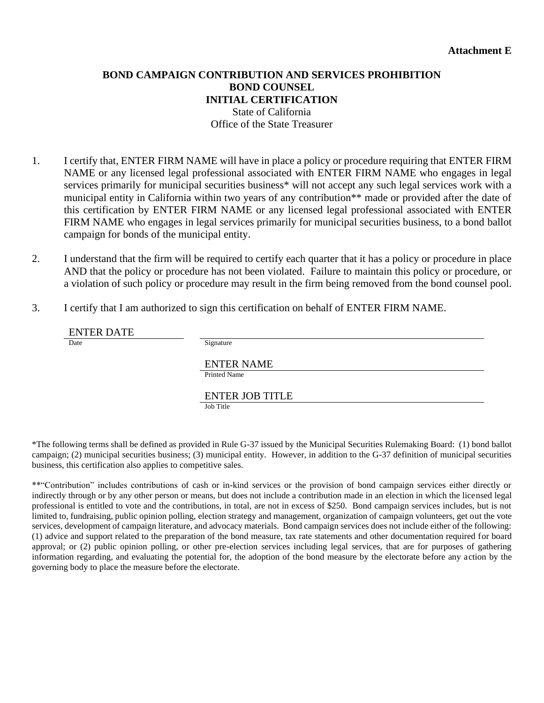# **BOND CAMPAIGN CONTRIBUTION AND SERVICES PROHIBITION BOND COUNSEL INITIAL CERTIFICATION** State of California Office of the State Treasurer

- 1. I certify that, ENTER FIRM NAME will have in place a policy or procedure requiring that ENTER FIRM NAME or any licensed legal professional associated with ENTER FIRM NAME who engages in legal services primarily for municipal securities business\* will not accept any such legal services work with a municipal entity in California within two years of any contribution\*\* made or provided after the date of this certification by ENTER FIRM NAME or any licensed legal professional associated with ENTER FIRM NAME who engages in legal services primarily for municipal securities business, to a bond ballot campaign for bonds of the municipal entity.
- 2. I understand that the firm will be required to certify each quarter that it has a policy or procedure in place AND that the policy or procedure has not been violated. Failure to maintain this policy or procedure, or a violation of such policy or procedure may result in the firm being removed from the bond counsel pool.
- 3. I certify that I am authorized to sign this certification on behalf of ENTER FIRM NAME.

| <b>ENTER DATE</b> |                        |
|-------------------|------------------------|
| Date              | Signature              |
|                   |                        |
|                   | <b>ENTER NAME</b>      |
|                   | <b>Printed Name</b>    |
|                   |                        |
|                   | <b>ENTER JOB TITLE</b> |
|                   | Job Title              |

\*The following terms shall be defined as provided in Rule G-37 issued by the Municipal Securities Rulemaking Board: (1) bond ballot campaign; (2) municipal securities business; (3) municipal entity. However, in addition to the G-37 definition of municipal securities business, this certification also applies to competitive sales.

\*\*"Contribution" includes contributions of cash or in-kind services or the provision of bond campaign services either directly or indirectly through or by any other person or means, but does not include a contribution made in an election in which the licensed legal professional is entitled to vote and the contributions, in total, are not in excess of \$250. Bond campaign services includes, but is not limited to, fundraising, public opinion polling, election strategy and management, organization of campaign volunteers, get out the vote services, development of campaign literature, and advocacy materials. Bond campaign services does not include either of the following: (1) advice and support related to the preparation of the bond measure, tax rate statements and other documentation required for board approval; or (2) public opinion polling, or other pre-election services including legal services, that are for purposes of gathering information regarding, and evaluating the potential for, the adoption of the bond measure by the electorate before any action by the governing body to place the measure before the electorate.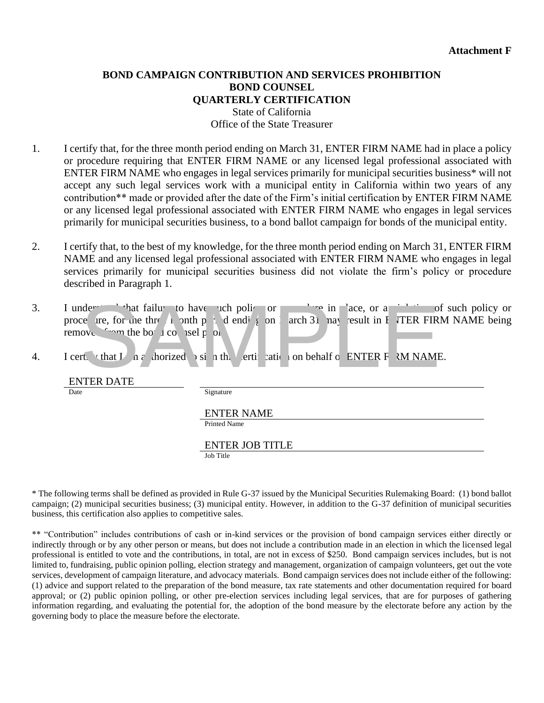### **BOND CAMPAIGN CONTRIBUTION AND SERVICES PROHIBITION BOND COUNSEL QUARTERLY CERTIFICATION** State of California Office of the State Treasurer

- 1. I certify that, for the three month period ending on March 31, ENTER FIRM NAME had in place a policy or procedure requiring that ENTER FIRM NAME or any licensed legal professional associated with ENTER FIRM NAME who engages in legal services primarily for municipal securities business\* will not accept any such legal services work with a municipal entity in California within two years of any contribution\*\* made or provided after the date of the Firm's initial certification by ENTER FIRM NAME or any licensed legal professional associated with ENTER FIRM NAME who engages in legal services primarily for municipal securities business, to a bond ballot campaign for bonds of the municipal entity.
- 2. I certify that, to the best of my knowledge, for the three month period ending on March 31, ENTER FIRM NAME and any licensed legal professional associated with ENTER FIRM NAME who engages in legal services primarily for municipal securities business did not violate the firm's policy or procedure described in Paragraph 1.
- 3. I under that failure to have such policy or procedure in place, or a violation of such policy or proce ure, for the three month period ending on March 31 may result in ENTER FIRM NAME being removed  $\rightarrow$  the bond counsel pool. de and hat failure to have the political or the bottom and that that that that the political political political political politic state of the bottom in the bottom in the bottom is a set political political political poli
- 4. I certify that I am a aborized  $\gamma$  sign the left to sign that conservation on behalf of ENTER FIRM NAME.

ENTER DATE

Signature

ENTER NAME

Printed Name

ENTER JOB TITLE

Job Title

\* The following terms shall be defined as provided in Rule G-37 issued by the Municipal Securities Rulemaking Board: (1) bond ballot campaign; (2) municipal securities business; (3) municipal entity. However, in addition to the G-37 definition of municipal securities business, this certification also applies to competitive sales.

\*\* "Contribution" includes contributions of cash or in-kind services or the provision of bond campaign services either directly or indirectly through or by any other person or means, but does not include a contribution made in an election in which the licensed legal professional is entitled to vote and the contributions, in total, are not in excess of \$250. Bond campaign services includes, but is not limited to, fundraising, public opinion polling, election strategy and management, organization of campaign volunteers, get out the vote services, development of campaign literature, and advocacy materials. Bond campaign services does not include either of the following: (1) advice and support related to the preparation of the bond measure, tax rate statements and other documentation required for board approval; or (2) public opinion polling, or other pre-election services including legal services, that are for purposes of gathering information regarding, and evaluating the potential for, the adoption of the bond measure by the electorate before any action by the governing body to place the measure before the electorate.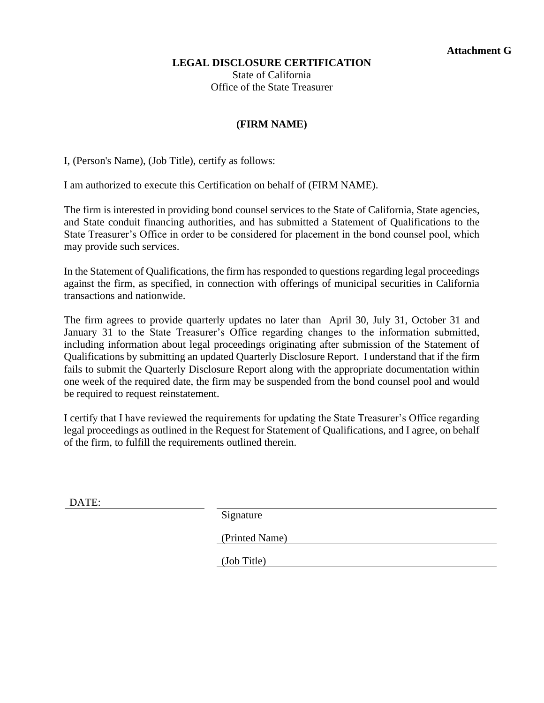### **LEGAL DISCLOSURE CERTIFICATION**

State of California Office of the State Treasurer

# **(FIRM NAME)**

I, (Person's Name), (Job Title), certify as follows:

I am authorized to execute this Certification on behalf of (FIRM NAME).

The firm is interested in providing bond counsel services to the State of California, State agencies, and State conduit financing authorities, and has submitted a Statement of Qualifications to the State Treasurer's Office in order to be considered for placement in the bond counsel pool, which may provide such services.

In the Statement of Qualifications, the firm has responded to questions regarding legal proceedings against the firm, as specified, in connection with offerings of municipal securities in California transactions and nationwide.

The firm agrees to provide quarterly updates no later than April 30, July 31, October 31 and January 31 to the State Treasurer's Office regarding changes to the information submitted, including information about legal proceedings originating after submission of the Statement of Qualifications by submitting an updated Quarterly Disclosure Report. I understand that if the firm fails to submit the Quarterly Disclosure Report along with the appropriate documentation within one week of the required date, the firm may be suspended from the bond counsel pool and would be required to request reinstatement.

I certify that I have reviewed the requirements for updating the State Treasurer's Office regarding legal proceedings as outlined in the Request for Statement of Qualifications, and I agree, on behalf of the firm, to fulfill the requirements outlined therein.

DATE:

Signature

(Printed Name)

(Job Title)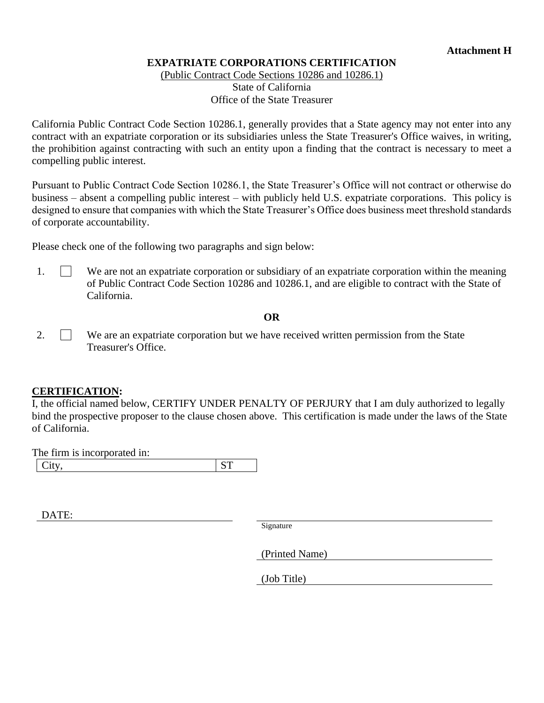## **EXPATRIATE CORPORATIONS CERTIFICATION**

(Public Contract Code Sections 10286 and 10286.1) State of California Office of the State Treasurer

California Public Contract Code Section 10286.1, generally provides that a State agency may not enter into any contract with an expatriate corporation or its subsidiaries unless the State Treasurer's Office waives, in writing, the prohibition against contracting with such an entity upon a finding that the contract is necessary to meet a compelling public interest.

Pursuant to Public Contract Code Section 10286.1, the State Treasurer's Office will not contract or otherwise do business – absent a compelling public interest – with publicly held U.S. expatriate corporations. This policy is designed to ensure that companies with which the State Treasurer's Office does business meet threshold standards of corporate accountability.

Please check one of the following two paragraphs and sign below:

1. We are not an expatriate corporation or subsidiary of an expatriate corporation within the meaning of Public Contract Code Section 10286 and 10286.1, and are eligible to contract with the State of California.

**OR**

2. We are an expatriate corporation but we have received written permission from the State Treasurer's Office.

### **CERTIFICATION:**

I, the official named below, CERTIFY UNDER PENALTY OF PERJURY that I am duly authorized to legally bind the prospective proposer to the clause chosen above. This certification is made under the laws of the State of California.

The firm is incorporated in: City, ST

DATE:

Signature

(Printed Name)

(Job Title)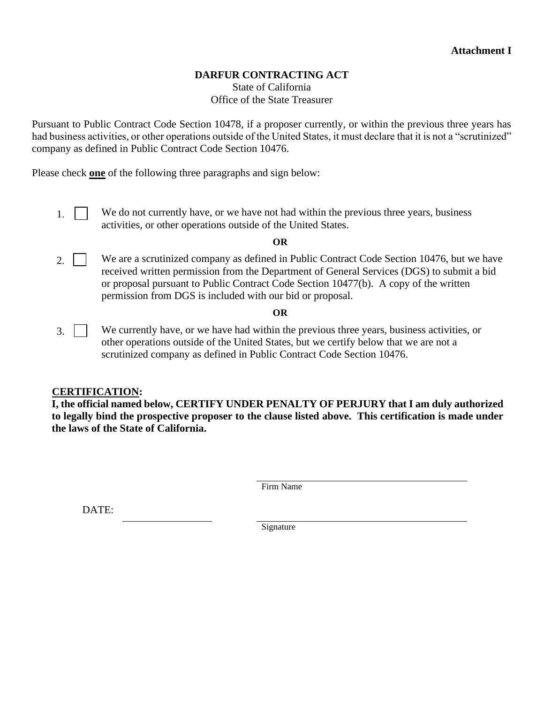## **DARFUR CONTRACTING ACT**

State of California Office of the State Treasurer

Pursuant to Public Contract Code Section 10478, if a proposer currently, or within the previous three years has had business activities, or other operations outside of the United States, it must declare that it is not a "scrutinized" company as defined in Public Contract Code Section 10476.

Please check **one** of the following three paragraphs and sign below:

1. We do not currently have, or we have not had within the previous three years, business activities, or other operations outside of the United States.

#### **OR**

2. We are a scrutinized company as defined in Public Contract Code Section 10476, but we have received written permission from the Department of General Services (DGS) to submit a bid or proposal pursuant to Public Contract Code Section 10477(b). A copy of the written permission from DGS is included with our bid or proposal.

### **OR**

3. We currently have, or we have had within the previous three years, business activities, or other operations outside of the United States, but we certify below that we are not a scrutinized company as defined in Public Contract Code Section 10476.

### **CERTIFICATION:**

**I, the official named below, CERTIFY UNDER PENALTY OF PERJURY that I am duly authorized to legally bind the prospective proposer to the clause listed above. This certification is made under the laws of the State of California.**

Firm Name

DATE:

Signature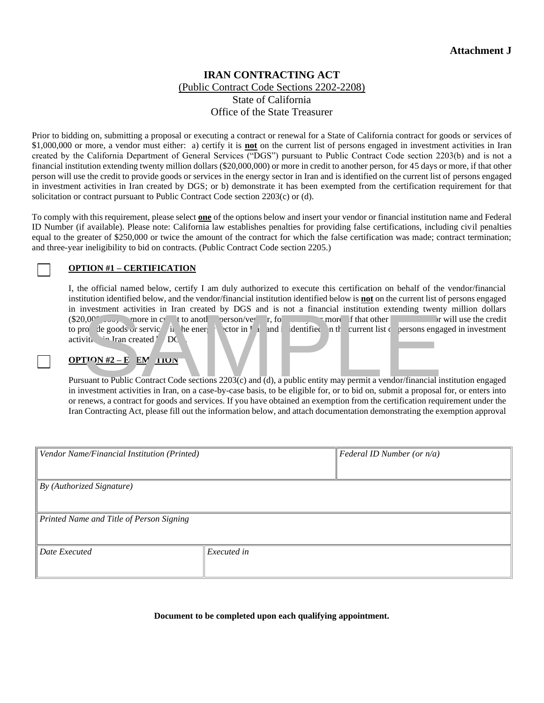### **IRAN CONTRACTING ACT** (Public Contract Code Sections 2202-2208) State of California Office of the State Treasurer

Prior to bidding on, submitting a proposal or executing a contract or renewal for a State of California contract for goods or services of \$1,000,000 or more, a vendor must either: a) certify it is **not** on the current list of persons engaged in investment activities in Iran created by the California Department of General Services ("DGS") pursuant to Public Contract Code section 2203(b) and is not a financial institution extending twenty million dollars (\$20,000,000) or more in credit to another person, for 45 days or more, if that other person will use the credit to provide goods or services in the energy sector in Iran and is identified on the current list of persons engaged in investment activities in Iran created by DGS; or b) demonstrate it has been exempted from the certification requirement for that solicitation or contract pursuant to Public Contract Code section 2203(c) or (d).

To comply with this requirement, please select **one** of the options below and insert your vendor or financial institution name and Federal ID Number (if available). Please note: California law establishes penalties for providing false certifications, including civil penalties equal to the greater of \$250,000 or twice the amount of the contract for which the false certification was made; contract termination; and three-year ineligibility to bid on contracts. (Public Contract Code section 2205.)

#### **OPTION #1 – CERTIFICATION**

I, the official named below, certify I am duly authorized to execute this certification on behalf of the vendor/financial institution identified below, and the vendor/financial institution identified below is **not** on the current list of persons engaged in investment activities in Iran created by DGS and is not a financial institution extending twenty million dollars  $(\$20,0^{\circ}$ ,  $\circ \omega$ , more in credit to another person/vendor  $\sim$  more, if that other person/vendor will use the credit to provide goods or service in the energy sector in I in and included on the current list of persons engaged in investment activities  $I_{\text{ran} \text{ created}}$  DG Notestheme the contract code sections and the energy of that other than the goods of service in the energy of the energy of the energy of the energy of the energy of the energy of the energy of the energy of the energy of

#### $OPT$   $N#2 - E$   $EN$   $TION$

Pursuant to Public Contract Code sections 2203(c) and (d), a public entity may permit a vendor/financial institution engaged in investment activities in Iran, on a case-by-case basis, to be eligible for, or to bid on, submit a proposal for, or enters into or renews, a contract for goods and services. If you have obtained an exemption from the certification requirement under the Iran Contracting Act, please fill out the information below, and attach documentation demonstrating the exemption approval

| Vendor Name/Financial Institution (Printed) |             | $\vert$ Federal ID Number (or $n/a$ ) |
|---------------------------------------------|-------------|---------------------------------------|
|                                             |             |                                       |
| $\parallel$ By (Authorized Signature)       |             |                                       |
|                                             |             |                                       |
| Printed Name and Title of Person Signing    |             |                                       |
|                                             |             |                                       |
| Date Executed                               | Executed in |                                       |
|                                             |             |                                       |

**Document to be completed upon each qualifying appointment.**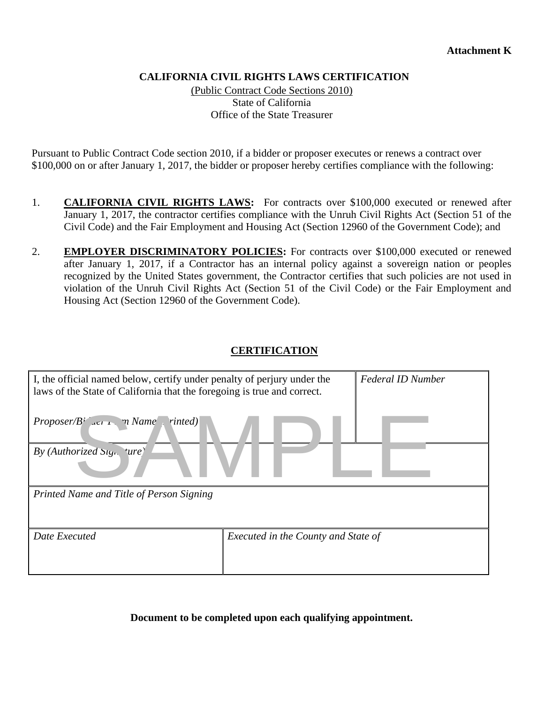### **CALIFORNIA CIVIL RIGHTS LAWS CERTIFICATION**

(Public Contract Code Sections 2010) State of California Office of the State Treasurer

Pursuant to Public Contract Code section 2010, if a bidder or proposer executes or renews a contract over \$100,000 on or after January 1, 2017, the bidder or proposer hereby certifies compliance with the following:

- 1. **CALIFORNIA CIVIL RIGHTS LAWS:** For contracts over \$100,000 executed or renewed after January 1, 2017, the contractor certifies compliance with the Unruh Civil Rights Act (Section 51 of the Civil Code) and the Fair Employment and Housing Act (Section 12960 of the Government Code); and
- 2. **EMPLOYER DISCRIMINATORY POLICIES:** For contracts over \$100,000 executed or renewed after January 1, 2017, if a Contractor has an internal policy against a sovereign nation or peoples recognized by the United States government, the Contractor certifies that such policies are not used in violation of the Unruh Civil Rights Act (Section 51 of the Civil Code) or the Fair Employment and Housing Act (Section 12960 of the Government Code).

### **CERTIFICATION**

| I, the official named below, certify under penalty of perjury under the<br>laws of the State of California that the foregoing is true and correct. |                                     | <b>Federal ID Number</b> |
|----------------------------------------------------------------------------------------------------------------------------------------------------|-------------------------------------|--------------------------|
| <i>Proposer/B aer r. n Name Finted)</i>                                                                                                            |                                     |                          |
| By (Authorized Sign 'ure)                                                                                                                          |                                     |                          |
| Printed Name and Title of Person Signing                                                                                                           |                                     |                          |
| Date Executed                                                                                                                                      | Executed in the County and State of |                          |

**Document to be completed upon each qualifying appointment.**